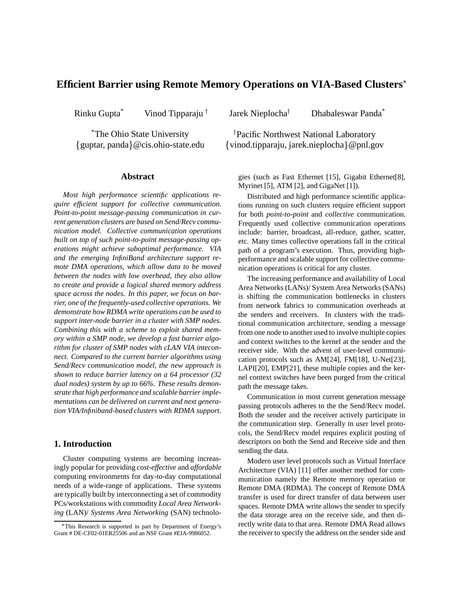# **Efficient Barrier using Remote Memory Operations on VIA-Based Clusters**

Rinku Gupta<sup>\*</sup> Vinod Tipparaju<sup>†</sup>

\*The Ohio State University - guptar, panda @cis.ohio-state.edu

#### **Abstract**

*Most high performance scientific applications require efficient support for collective communication. Point-to-point message-passing communication in current generation clusters are based on Send/Recv communication model. Collective communication operations built on top of such point-to-point message-passing operations might achieve suboptimal performance. VIA and the emerging InfiniBand architecture support remote DMA operations, which allow data to be moved between the nodes with low overhead, they also allow to create and provide a logical shared memory address space across the nodes. In this paper, we focus on barrier, one of the frequently-used collective operations. We demonstrate how RDMA write operations can be used to support inter-node barrier in a cluster with SMP nodes. Combining this with a scheme to exploit shared memory within a SMP node, we develop a fast barrier algorithm for cluster of SMP nodes with cLAN VIA inteconnect. Compared to the current barrier algorithms using Send/Recv communication model, the new approach is shown to reduce barrier latency on a 64 processor (32 dual nodes) system by up to 66%. These results demonstrate that high performance and scalable barrier implementations can be delivered on current and next generation VIA/Infiniband-based clusters with RDMA support.*

# **1. Introduction**

Cluster computing systems are becoming increasingly popular for providing *cost-effective* and *affordable* computing environments for day-to-day computational needs of a wide-range of applications. These systems are typically built by interconnecting a set of commodity PCs/workstations with commodity *Local Area Networking* (LAN)/ *Systems Area Networking* (SAN) technoloJarek Nieplocha Dhabaleswar Panda\*

 Pacific Northwest National Laboratory {vinod.tipparaju, jarek.nieplocha}@pnl.gov

gies (such as Fast Ethernet [15], Gigabit Ethernet[8], Myrinet [5], ATM [2], and GigaNet [1]).

Distributed and high performance scientific applications running on such clusters require efficient support for both *point-to-point* and *collective* communication. Frequently used collective communication operations include: barrier, broadcast, all-reduce, gather, scatter, etc. Many times collective operations fall in the critical path of a program's execution. Thus, providing highperformance and scalable support for collective communication operations is critical for any cluster.

The increasing performance and availability of Local Area Networks (LANs)/ System Area Networks (SANs) is shifting the communication bottlenecks in clusters from network fabrics to communication overheads at the senders and receivers. In clusters with the traditional communication architecture, sending a message from one node to another used to involve multiple copies and context switches to the kernel at the sender and the receiver side. With the advent of user-level communication protocols such as AM[24], FM[18], U-Net[23], LAPI[20], EMP[21], these multiple copies and the kernel context switches have been purged from the critical path the message takes.

Communication in most current generation message passing protocols adheres to the the Send/Recv model. Both the sender and the receiver actively participate in the communication step. Generally in user level protocols, the Send/Recv model requires explicit posting of descriptors on both the Send and Receive side and then sending the data.

Modern user level protocols such as Virtual Interface Architecture (VIA) [11] offer another method for communication namely the Remote memory operation or Remote DMA (RDMA). The concept of Remote DMA transfer is used for direct transfer of data between user spaces. Remote DMA write allows the sender to specify the data storage area on the receive side, and then directly write data to that area. Remote DMA Read allows the receiver to specify the address on the sender side and

This Research is supported in part by Department of Energy's Grant # DE-CF02-01ER25506 and an NSF Grant #EIA-9986052.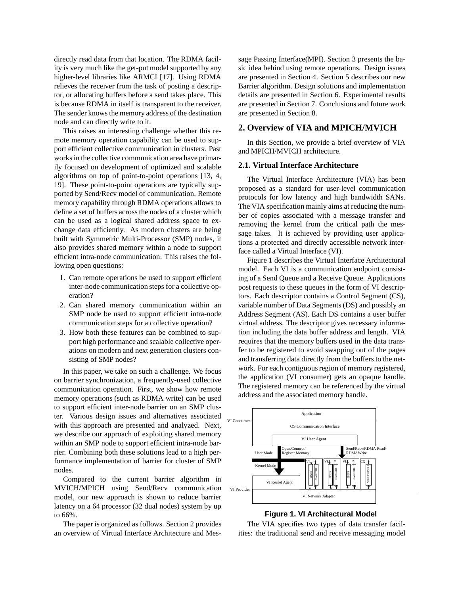directly read data from that location. The RDMA facility is very much like the get-put model supported by any higher-level libraries like ARMCI [17]. Using RDMA relieves the receiver from the task of posting a descriptor, or allocating buffers before a send takes place. This is because RDMA in itself is transparent to the receiver. The sender knows the memory address of the destination node and can directly write to it.

This raises an interesting challenge whether this remote memory operation capability can be used to support efficient collective communication in clusters. Past works in the collective communication area have primarily focused on development of optimized and scalable algorithms on top of point-to-point operations [13, 4, 19]. These point-to-point operations are typically supported by Send/Recv model of communication. Remote memory capability through RDMA operations allows to define a set of buffers across the nodes of a cluster which can be used as a logical shared address space to exchange data efficiently. As modern clusters are being built with Symmetric Multi-Processor (SMP) nodes, it also provides shared memory within a node to support efficient intra-node communication. This raises the following open questions:

- 1. Can remote operations be used to support efficient inter-node communication steps for a collective operation?
- 2. Can shared memory communication within an SMP node be used to support efficient intra-node communication steps for a collective operation?
- 3. How both these features can be combined to support high performance and scalable collective operations on modern and next generation clusters consisting of SMP nodes?

In this paper, we take on such a challenge. We focus on barrier synchronization, a frequently-used collective communication operation. First, we show how remote memory operations (such as RDMA write) can be used to support efficient inter-node barrier on an SMP cluster. Various design issues and alternatives associated with this approach are presented and analyzed. Next, we describe our approach of exploiting shared memory within an SMP node to support efficient intra-node barrier. Combining both these solutions lead to a high performance implementation of barrier for cluster of SMP nodes.

Compared to the current barrier algorithm in MVICH/MPICH using Send/Recv communication model, our new approach is shown to reduce barrier latency on a 64 processor (32 dual nodes) system by up to 66%.

The paper is organized as follows. Section 2 provides an overview of Virtual Interface Architecture and Message Passing Interface(MPI). Section 3 presents the basic idea behind using remote operations. Design issues are presented in Section 4. Section 5 describes our new Barrier algorithm. Design solutions and implementation details are presented in Section 6. Experimental results are presented in Section 7. Conclusions and future work are presented in Section 8.

# **2. Overview of VIA and MPICH/MVICH**

In this Section, we provide a brief overview of VIA and MPICH/MVICH architecture.

## **2.1. Virtual Interface Architecture**

The Virtual Interface Architecture (VIA) has been proposed as a standard for user-level communication protocols for low latency and high bandwidth SANs. The VIA specification mainly aims at reducing the number of copies associated with a message transfer and removing the kernel from the critical path the message takes. It is achieved by providing user applications a protected and directly accessible network interface called a Virtual Interface (VI).

Figure 1 describes the Virtual Interface Architectural model. Each VI is a communication endpoint consisting of a Send Queue and a Receive Queue. Applications post requests to these queues in the form of VI descriptors. Each descriptor contains a Control Segment (CS), variable number of Data Segments (DS) and possibly an Address Segment (AS). Each DS contains a user buffer virtual address. The descriptor gives necessary information including the data buffer address and length. VIA requires that the memory buffers used in the data transfer to be registered to avoid swapping out of the pages and transferring data directly from the buffers to the network. For each contiguous region of memory registered, the application (VI consumer) gets an opaque handle. The registered memory can be referenced by the virtual address and the associated memory handle.



**Figure 1. VI Architectural Model**

The VIA specifies two types of data transfer facilities: the traditional send and receive messaging model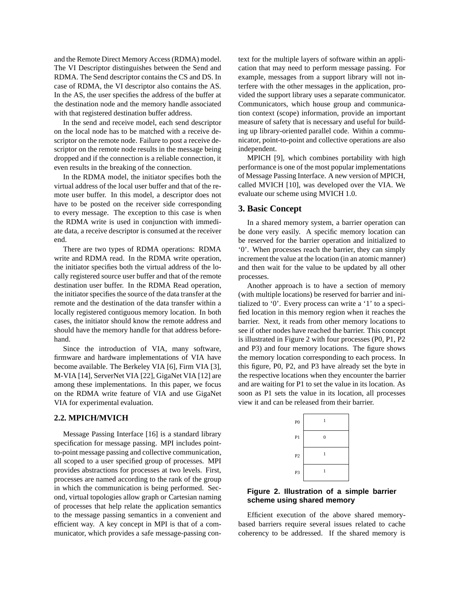and the Remote Direct Memory Access (RDMA) model. The VI Descriptor distinguishes between the Send and RDMA. The Send descriptor contains the CS and DS. In case of RDMA, the VI descriptor also contains the AS. In the AS, the user specifies the address of the buffer at the destination node and the memory handle associated with that registered destination buffer address.

In the send and receive model, each send descriptor on the local node has to be matched with a receive descriptor on the remote node. Failure to post a receive descriptor on the remote node results in the message being dropped and if the connection is a reliable connection, it even results in the breaking of the connection.

In the RDMA model, the initiator specifies both the virtual address of the local user buffer and that of the remote user buffer. In this model, a descriptor does not have to be posted on the receiver side corresponding to every message. The exception to this case is when the RDMA write is used in conjunction with immediate data, a receive descriptor is consumed at the receiver end.

There are two types of RDMA operations: RDMA write and RDMA read. In the RDMA write operation, the initiator specifies both the virtual address of the locally registered source user buffer and that of the remote destination user buffer. In the RDMA Read operation, the initiator specifies the source of the data transfer at the remote and the destination of the data transfer within a locally registered contiguous memory location. In both cases, the initiator should know the remote address and should have the memory handle for that address beforehand.

Since the introduction of VIA, many software, firmware and hardware implementations of VIA have become available. The Berkeley VIA [6], Firm VIA [3], M-VIA [14], ServerNet VIA [22], GigaNet VIA [12] are among these implementations. In this paper, we focus on the RDMA write feature of VIA and use GigaNet VIA for experimental evaluation.

#### **2.2. MPICH/MVICH**

Message Passing Interface [16] is a standard library specification for message passing. MPI includes pointto-point message passing and collective communication, all scoped to a user specified group of processes. MPI provides abstractions for processes at two levels. First, processes are named according to the rank of the group in which the communication is being performed. Second, virtual topologies allow graph or Cartesian naming of processes that help relate the application semantics to the message passing semantics in a convenient and efficient way. A key concept in MPI is that of a communicator, which provides a safe message-passing con-

text for the multiple layers of software within an application that may need to perform message passing. For example, messages from a support library will not interfere with the other messages in the application, provided the support library uses a separate communicator. Communicators, which house group and communication context (scope) information, provide an important measure of safety that is necessary and useful for building up library-oriented parallel code. Within a communicator, point-to-point and collective operations are also independent.

MPICH [9], which combines portability with high performance is one of the most popular implementations of Message Passing Interface. A new version of MPICH, called MVICH [10], was developed over the VIA. We evaluate our scheme using MVICH 1.0.

## **3. Basic Concept**

In a shared memory system, a barrier operation can be done very easily. A specific memory location can be reserved for the barrier operation and initialized to '0'. When processes reach the barrier, they can simply increment the value at the location (in an atomic manner) and then wait for the value to be updated by all other processes.

Another approach is to have a section of memory (with multiple locations) be reserved for barrier and initialized to '0'. Every process can write a '1' to a specified location in this memory region when it reaches the barrier. Next, it reads from other memory locations to see if other nodes have reached the barrier. This concept is illustrated in Figure 2 with four processes (P0, P1, P2 and P3) and four memory locations. The figure shows the memory location corresponding to each process. In this figure, P0, P2, and P3 have already set the byte in the respective locations when they encounter the barrier and are waiting for P1 to set the value in its location. As soon as P1 sets the value in its location, all processes view it and can be released from their barrier.

| P <sub>0</sub> | $\mathbf{1}$     |
|----------------|------------------|
| P1             | $\boldsymbol{0}$ |
| P <sub>2</sub> | 1                |
| P <sub>3</sub> | 1                |

## **Figure 2. Illustration of a simple barrier scheme using shared memory**

Efficient execution of the above shared memorybased barriers require several issues related to cache coherency to be addressed. If the shared memory is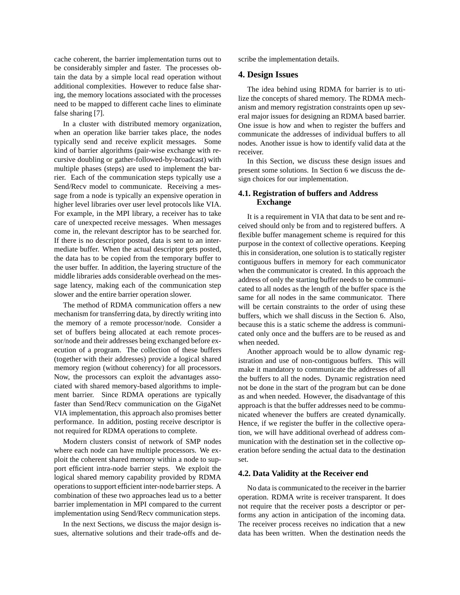cache coherent, the barrier implementation turns out to be considerably simpler and faster. The processes obtain the data by a simple local read operation without additional complexities. However to reduce false sharing, the memory locations associated with the processes need to be mapped to different cache lines to eliminate false sharing [7].

In a cluster with distributed memory organization, when an operation like barrier takes place, the nodes typically send and receive explicit messages. Some kind of barrier algorithms (pair-wise exchange with recursive doubling or gather-followed-by-broadcast) with multiple phases (steps) are used to implement the barrier. Each of the communication steps typically use a Send/Recv model to communicate. Receiving a message from a node is typically an expensive operation in higher level libraries over user level protocols like VIA. For example, in the MPI library, a receiver has to take care of unexpected receive messages. When messages come in, the relevant descriptor has to be searched for. If there is no descriptor posted, data is sent to an intermediate buffer. When the actual descriptor gets posted, the data has to be copied from the temporary buffer to the user buffer. In addition, the layering structure of the middle libraries adds considerable overhead on the message latency, making each of the communication step slower and the entire barrier operation slower.

The method of RDMA communication offers a new mechanism for transferring data, by directly writing into the memory of a remote processor/node. Consider a set of buffers being allocated at each remote processor/node and their addresses being exchanged before execution of a program. The collection of these buffers (together with their addresses) provide a logical shared memory region (without coherency) for all processors. Now, the processors can exploit the advantages associated with shared memory-based algorithms to implement barrier. Since RDMA operations are typically faster than Send/Recv communication on the GigaNet VIA implementation, this approach also promises better performance. In addition, posting receive descriptor is not required for RDMA operations to complete.

Modern clusters consist of network of SMP nodes where each node can have multiple processors. We exploit the coherent shared memory within a node to support efficient intra-node barrier steps. We exploit the logical shared memory capability provided by RDMA operations to support efficient inter-node barrier steps. A combination of these two approaches lead us to a better barrier implementation in MPI compared to the current implementation using Send/Recv communication steps.

In the next Sections, we discuss the major design issues, alternative solutions and their trade-offs and describe the implementation details.

#### **4. Design Issues**

The idea behind using RDMA for barrier is to utilize the concepts of shared memory. The RDMA mechanism and memory registration constraints open up several major issues for designing an RDMA based barrier. One issue is how and when to register the buffers and communicate the addresses of individual buffers to all nodes. Another issue is how to identify valid data at the receiver.

In this Section, we discuss these design issues and present some solutions. In Section 6 we discuss the design choices for our implementation.

## **4.1. Registration of buffers and Address Exchange**

It is a requirement in VIA that data to be sent and received should only be from and to registered buffers. A flexible buffer management scheme is required for this purpose in the context of collective operations. Keeping this in consideration, one solution is to statically register contiguous buffers in memory for each communicator when the communicator is created. In this approach the address of only the starting buffer needs to be communicated to all nodes as the length of the buffer space is the same for all nodes in the same communicator. There will be certain constraints to the order of using these buffers, which we shall discuss in the Section 6. Also, because this is a static scheme the address is communicated only once and the buffers are to be reused as and when needed.

Another approach would be to allow dynamic registration and use of non-contiguous buffers. This will make it mandatory to communicate the addresses of all the buffers to all the nodes. Dynamic registration need not be done in the start of the program but can be done as and when needed. However, the disadvantage of this approach is that the buffer addresses need to be communicated whenever the buffers are created dynamically. Hence, if we register the buffer in the collective operation, we will have additional overhead of address communication with the destination set in the collective operation before sending the actual data to the destination set.

#### **4.2. Data Validity at the Receiver end**

No data is communicated to the receiver in the barrier operation. RDMA write is receiver transparent. It does not require that the receiver posts a descriptor or performs any action in anticipation of the incoming data. The receiver process receives no indication that a new data has been written. When the destination needs the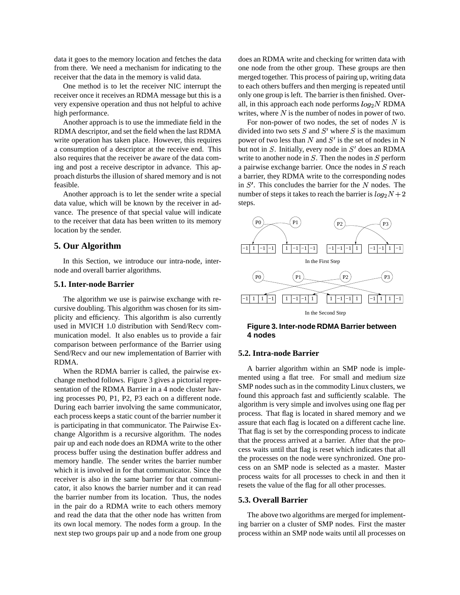data it goes to the memory location and fetches the data from there. We need a mechanism for indicating to the receiver that the data in the memory is valid data.

One method is to let the receiver NIC interrupt the receiver once it receives an RDMA message but this is a very expensive operation and thus not helpful to achive high performance.

Another approach is to use the immediate field in the RDMA descriptor, and set the field when the last RDMA write operation has taken place. However, this requires a consumption of a descriptor at the receive end. This also requires that the receiver be aware of the data coming and post a receive descriptor in advance. This approach disturbs the illusion of shared memory and is not feasible.

Another approach is to let the sender write a special data value, which will be known by the receiver in advance. The presence of that special value will indicate to the receiver that data has been written to its memory location by the sender.

## **5. Our Algorithm**

In this Section, we introduce our intra-node, internode and overall barrier algorithms.

## **5.1. Inter-node Barrier**

The algorithm we use is pairwise exchange with recursive doubling. This algorithm was chosen for its simplicity and efficiency. This algorithm is also currently used in MVICH 1.0 distribution with Send/Recv communication model. It also enables us to provide a fair comparison between performance of the Barrier using Send/Recv and our new implementation of Barrier with RDMA.

When the RDMA barrier is called, the pairwise exchange method follows. Figure 3 gives a pictorial representation of the RDMA Barrier in a 4 node cluster having processes P0, P1, P2, P3 each on a different node. During each barrier involving the same communicator, each process keeps a static count of the barrier number it is participating in that communicator. The Pairwise Exchange Algorithm is a recursive algorithm. The nodes pair up and each node does an RDMA write to the other process buffer using the destination buffer address and memory handle. The sender writes the barrier number which it is involved in for that communicator. Since the receiver is also in the same barrier for that communicator, it also knows the barrier number and it can read the barrier number from its location. Thus, the nodes in the pair do a RDMA write to each others memory and read the data that the other node has written from its own local memory. The nodes form a group. In the next step two groups pair up and a node from one group

does an RDMA write and checking for written data with one node from the other group. These groups are then merged together. This process of pairing up, writing data to each others buffers and then merging is repeated until only one group is left. The barrier is then finished. Overall, in this approach each node performs  $log_2 N$  RDMA writes, where  $N$  is the number of nodes in power of two.

For non-power of two nodes, the set of nodes  $N$  is divided into two sets  $S$  and  $S'$  where  $S$  is the maximum power of two less than N and  $S'$  is the set of nodes in N but not in  $S$ . Initially, every node in  $S'$  does an RDMA write to another node in  $S$ . Then the nodes in  $S$  perform a pairwise exchange barrier. Once the nodes in  $S$  reach a barrier, they RDMA write to the corresponding nodes in  $S'$ . This concludes the barrier for the  $N$  nodes. The number of steps it takes to reach the barrier is  $log_2 N + 2$ steps.



**Figure 3. Inter-node RDMA Barrier between 4 nodes**

# **5.2. Intra-node Barrier**

A barrier algorithm within an SMP node is implemented using a flat tree. For small and medium size SMP nodes such as in the commodity Linux clusters, we found this approach fast and sufficiently scalable. The algorithm is very simple and involves using one flag per process. That flag is located in shared memory and we assure that each flag is located on a different cache line. That flag is set by the corresponding process to indicate that the process arrived at a barrier. After that the process waits until that flag is reset which indicates that all the processes on the node were synchronized. One process on an SMP node is selected as a master. Master process waits for all processes to check in and then it resets the value of the flag for all other processes.

#### **5.3. Overall Barrier**

The above two algorithms are merged for implementing barrier on a cluster of SMP nodes. First the master process within an SMP node waits until all processes on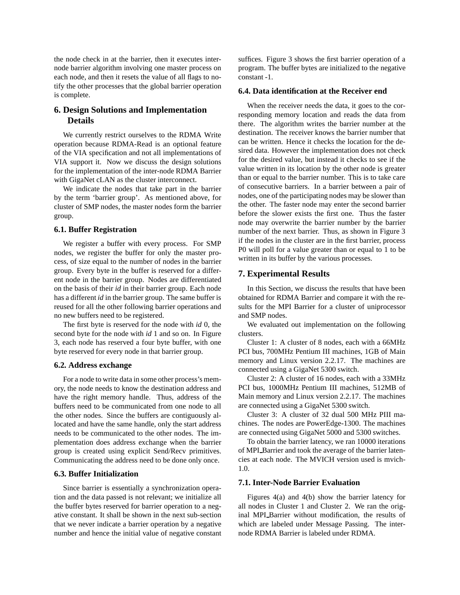the node check in at the barrier, then it executes internode barrier algorithm involving one master process on each node, and then it resets the value of all flags to notify the other processes that the global barrier operation is complete.

# **6. Design Solutions and Implementation Details**

We currently restrict ourselves to the RDMA Write operation because RDMA-Read is an optional feature of the VIA specification and not all implementations of VIA support it. Now we discuss the design solutions for the implementation of the inter-node RDMA Barrier with GigaNet cLAN as the cluster interconnect.

We indicate the nodes that take part in the barrier by the term 'barrier group'. As mentioned above, for cluster of SMP nodes, the master nodes form the barrier group.

## **6.1. Buffer Registration**

We register a buffer with every process. For SMP nodes, we register the buffer for only the master process, of size equal to the number of nodes in the barrier group. Every byte in the buffer is reserved for a different node in the barrier group. Nodes are differentiated on the basis of their *id* in their barrier group. Each node has a different *id* in the barrier group. The same buffer is reused for all the other following barrier operations and no new buffers need to be registered.

The first byte is reserved for the node with *id* 0, the second byte for the node with *id* 1 and so on. In Figure 3, each node has reserved a four byte buffer, with one byte reserved for every node in that barrier group.

#### **6.2. Address exchange**

For a node to write data in some other process's memory, the node needs to know the destination address and have the right memory handle. Thus, address of the buffers need to be communicated from one node to all the other nodes. Since the buffers are contiguously allocated and have the same handle, only the start address needs to be communicated to the other nodes. The implementation does address exchange when the barrier group is created using explicit Send/Recv primitives. Communicating the address need to be done only once.

#### **6.3. Buffer Initialization**

Since barrier is essentially a synchronization operation and the data passed is not relevant; we initialize all the buffer bytes reserved for barrier operation to a negative constant. It shall be shown in the next sub-section that we never indicate a barrier operation by a negative number and hence the initial value of negative constant

suffices. Figure 3 shows the first barrier operation of a program. The buffer bytes are initialized to the negative constant -1.

## **6.4. Data identification at the Receiver end**

When the receiver needs the data, it goes to the corresponding memory location and reads the data from there. The algorithm writes the barrier number at the destination. The receiver knows the barrier number that can be written. Hence it checks the location for the desired data. However the implementation does not check for the desired value, but instead it checks to see if the value written in its location by the other node is greater than or equal to the barrier number. This is to take care of consecutive barriers. In a barrier between a pair of nodes, one of the participating nodes may be slower than the other. The faster node may enter the second barrier before the slower exists the first one. Thus the faster node may overwrite the barrier number by the barrier number of the next barrier. Thus, as shown in Figure 3 if the nodes in the cluster are in the first barrier, process P0 will poll for a value greater than or equal to 1 to be written in its buffer by the various processes.

## **7. Experimental Results**

In this Section, we discuss the results that have been obtained for RDMA Barrier and compare it with the results for the MPI Barrier for a cluster of uniprocessor and SMP nodes.

We evaluated out implementation on the following clusters.

Cluster 1: A cluster of 8 nodes, each with a 66MHz PCI bus, 700MHz Pentium III machines, 1GB of Main memory and Linux version 2.2.17. The machines are connected using a GigaNet 5300 switch.

Cluster 2: A cluster of 16 nodes, each with a 33MHz PCI bus, 1000MHz Pentium III machines, 512MB of Main memory and Linux version 2.2.17. The machines are connected using a GigaNet 5300 switch.

Cluster 3: A cluster of 32 dual 500 MHz PIII machines. The nodes are PowerEdge-1300. The machines are connected using GigaNet 5000 and 5300 switches.

To obtain the barrier latency, we ran 10000 iterations of MPI Barrier and took the average of the barrier latencies at each node. The MVICH version used is mvich-1.0.

#### **7.1. Inter-Node Barrier Evaluation**

Figures 4(a) and 4(b) show the barrier latency for all nodes in Cluster 1 and Cluster 2. We ran the original MPI Barrier without modification, the results of which are labeled under Message Passing. The internode RDMA Barrier is labeled under RDMA.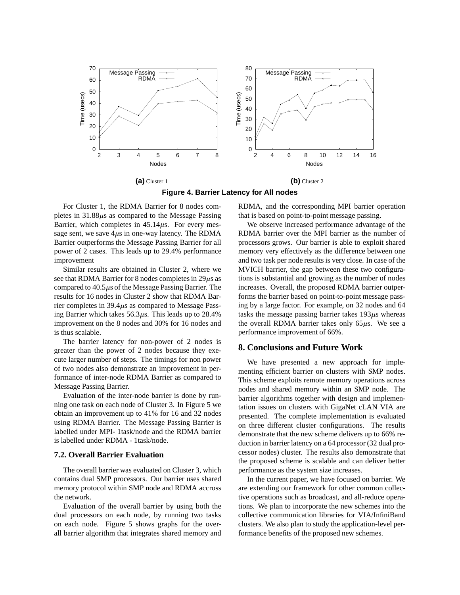

**Figure 4. Barrier Latency for All nodes**

For Cluster 1, the RDMA Barrier for 8 nodes completes in  $31.88\mu s$  as compared to the Message Passing Barrier, which completes in  $45.14\mu s$ . For every message sent, we save  $4\mu s$  in one-way latency. The RDMA Barrier outperforms the Message Passing Barrier for all power of 2 cases. This leads up to 29.4% performance improvement

Similar results are obtained in Cluster 2, where we see that RDMA Barrier for 8 nodes completes in  $29\mu s$  as compared to  $40.5\mu s$  of the Message Passing Barrier. The results for 16 nodes in Cluster 2 show that RDMA Barrier completes in  $39.4\mu s$  as compared to Message Passing Barrier which takes  $56.3\mu$ s. This leads up to 28.4% improvement on the 8 nodes and 30% for 16 nodes and is thus scalable.

The barrier latency for non-power of 2 nodes is greater than the power of 2 nodes because they execute larger number of steps. The timings for non power of two nodes also demonstrate an improvement in performance of inter-node RDMA Barrier as compared to Message Passing Barrier.

Evaluation of the inter-node barrier is done by running one task on each node of Cluster 3. In Figure 5 we obtain an improvement up to 41% for 16 and 32 nodes using RDMA Barrier. The Message Passing Barrier is labelled under MPI- 1task/node and the RDMA barrier is labelled under RDMA - 1task/node.

#### **7.2. Overall Barrier Evaluation**

The overall barrier was evaluated on Cluster 3, which contains dual SMP processors. Our barrier uses shared memory protocol within SMP node and RDMA accross the network.

Evaluation of the overall barrier by using both the dual processors on each node, by running two tasks on each node. Figure 5 shows graphs for the overall barrier algorithm that integrates shared memory and RDMA, and the corresponding MPI barrier operation that is based on point-to-point message passing.

We observe increased performance advantage of the RDMA barrier over the MPI barrier as the number of processors grows. Our barrier is able to exploit shared memory very effectively as the difference between one and two task per node results is very close. In case of the MVICH barrier, the gap between these two configurations is substantial and growing as the number of nodes increases. Overall, the proposed RDMA barrier outperforms the barrier based on point-to-point message passing by a large factor. For example, on 32 nodes and 64 tasks the message passing barrier takes  $193\mu s$  whereas the overall RDMA barrier takes only  $65\mu s$ . We see a performance improvement of 66%.

# **8. Conclusions and Future Work**

We have presented a new approach for implementing efficient barrier on clusters with SMP nodes. This scheme exploits remote memory operations across nodes and shared memory within an SMP node. The barrier algorithms together with design and implementation issues on clusters with GigaNet cLAN VIA are presented. The complete implementation is evaluated on three different cluster configurations. The results demonstrate that the new scheme delivers up to 66% reduction in barrier latency on a 64 processor (32 dual processor nodes) cluster. The results also demonstrate that the proposed scheme is scalable and can deliver better performance as the system size increases.

In the current paper, we have focused on barrier. We are extending our framework for other common collective operations such as broadcast, and all-reduce operations. We plan to incorporate the new schemes into the collective communication libraries for VIA/InfiniBand clusters. We also plan to study the application-level performance benefits of the proposed new schemes.